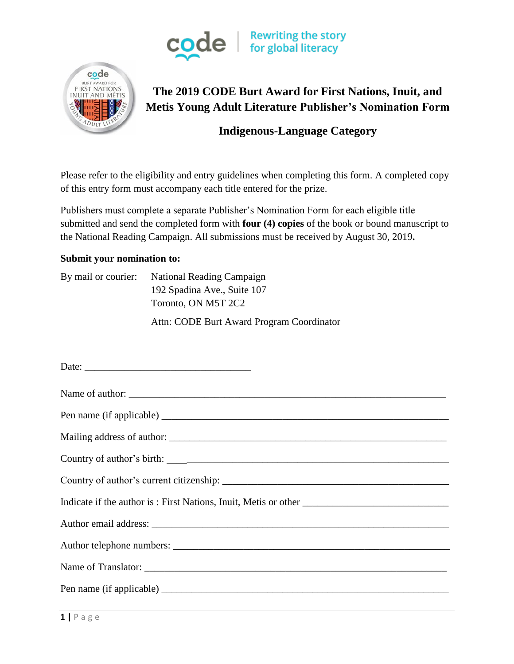



# **The 2019 CODE Burt Award for First Nations, Inuit, and Metis Young Adult Literature Publisher's Nomination Form**

## **Indigenous-Language Category**

Please refer to the eligibility and entry guidelines when completing this form. A completed copy of this entry form must accompany each title entered for the prize.

Publishers must complete a separate Publisher's Nomination Form for each eligible title submitted and send the completed form with **four (4) copies** of the book or bound manuscript to the National Reading Campaign. All submissions must be received by August 30, 2019**.**

#### **Submit your nomination to:**

By mail or courier: National Reading Campaign 192 Spadina Ave., Suite 107 Toronto, ON M5T 2C2

Attn: CODE Burt Award Program Coordinator

| Date:           |
|-----------------|
| Name of author: |
|                 |
|                 |
|                 |
|                 |
|                 |
|                 |
|                 |
|                 |
|                 |
|                 |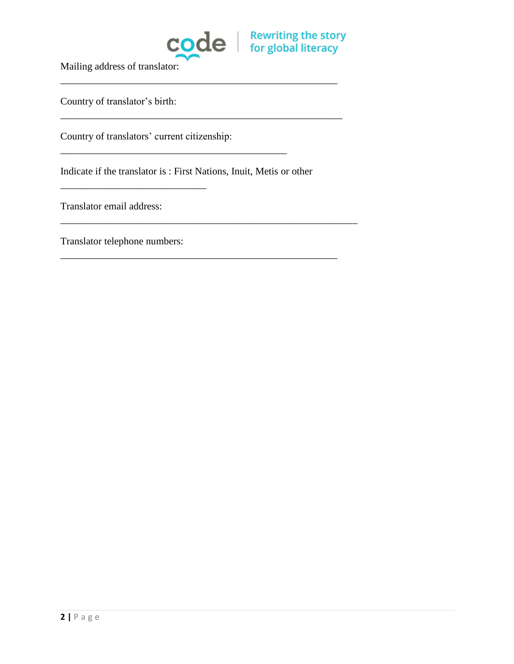

\_\_\_\_\_\_\_\_\_\_\_\_\_\_\_\_\_\_\_\_\_\_\_\_\_\_\_\_\_\_\_\_\_\_\_\_\_\_\_\_\_\_\_\_\_\_\_\_\_\_\_\_\_\_\_

\_\_\_\_\_\_\_\_\_\_\_\_\_\_\_\_\_\_\_\_\_\_\_\_\_\_\_\_\_\_\_\_\_\_\_\_\_\_\_\_\_\_\_\_\_\_\_\_\_\_\_\_\_\_\_\_

\_\_\_\_\_\_\_\_\_\_\_\_\_\_\_\_\_\_\_\_\_\_\_\_\_\_\_\_\_\_\_\_\_\_\_\_\_\_\_\_\_\_\_\_\_\_\_\_\_\_\_\_\_\_\_\_\_\_\_

\_\_\_\_\_\_\_\_\_\_\_\_\_\_\_\_\_\_\_\_\_\_\_\_\_\_\_\_\_\_\_\_\_\_\_\_\_\_\_\_\_\_\_\_\_\_\_\_\_\_\_\_\_\_\_

Mailing address of translator:

Country of translator's birth:

Country of translators' current citizenship:

Indicate if the translator is : First Nations, Inuit, Metis or other

\_\_\_\_\_\_\_\_\_\_\_\_\_\_\_\_\_\_\_\_\_\_\_\_\_\_\_\_\_\_\_\_\_\_\_\_\_\_\_\_\_\_\_\_\_

Translator email address:

Translator telephone numbers:

\_\_\_\_\_\_\_\_\_\_\_\_\_\_\_\_\_\_\_\_\_\_\_\_\_\_\_\_\_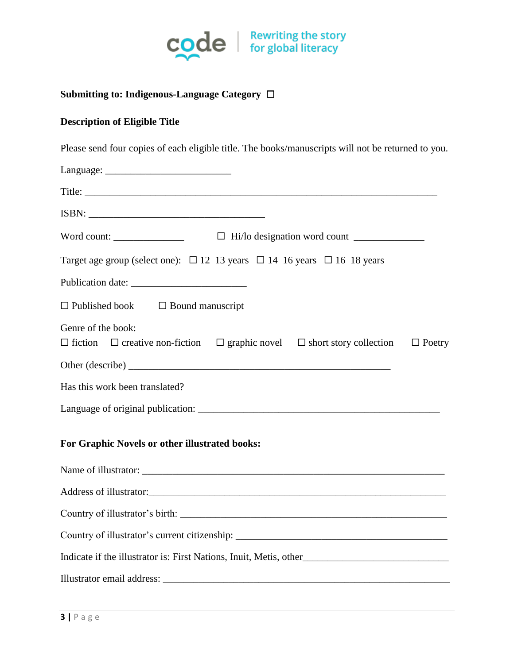

### **Submitting to: Indigenous-Language Category** ☐

#### **Description of Eligible Title**

Please send four copies of each eligible title. The books/manuscripts will not be returned to you.

| Target age group (select one): $\Box$ 12–13 years $\Box$ 14–16 years $\Box$ 16–18 years                                                 |
|-----------------------------------------------------------------------------------------------------------------------------------------|
|                                                                                                                                         |
| $\Box$ Published book $\Box$ Bound manuscript                                                                                           |
| Genre of the book:<br>$\Box$ creative non-fiction $\Box$ graphic novel $\Box$ short story collection<br>$\Box$ fiction<br>$\Box$ Poetry |
|                                                                                                                                         |
| Has this work been translated?                                                                                                          |
|                                                                                                                                         |
| For Graphic Novels or other illustrated books:                                                                                          |
|                                                                                                                                         |
|                                                                                                                                         |
|                                                                                                                                         |
|                                                                                                                                         |
| Indicate if the illustrator is: First Nations, Inuit, Metis, other__________________________________                                    |
|                                                                                                                                         |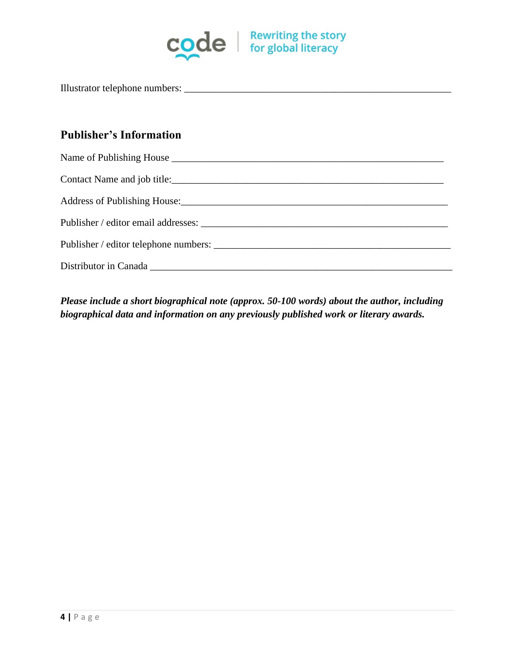

Illustrator telephone numbers: \_\_\_\_\_\_\_\_\_\_\_\_\_\_\_\_\_\_\_\_\_\_\_\_\_\_\_\_\_\_\_\_\_\_\_\_\_\_\_\_\_\_\_\_\_\_\_\_\_\_\_\_\_

### **Publisher's Information**

| Address of Publishing House: 1988. The Contract of Publishing House: 1988. The Contract of Publishing House: |
|--------------------------------------------------------------------------------------------------------------|
|                                                                                                              |
| Publisher / editor telephone numbers:                                                                        |
|                                                                                                              |

*Please include a short biographical note (approx. 50-100 words) about the author, including biographical data and information on any previously published work or literary awards.*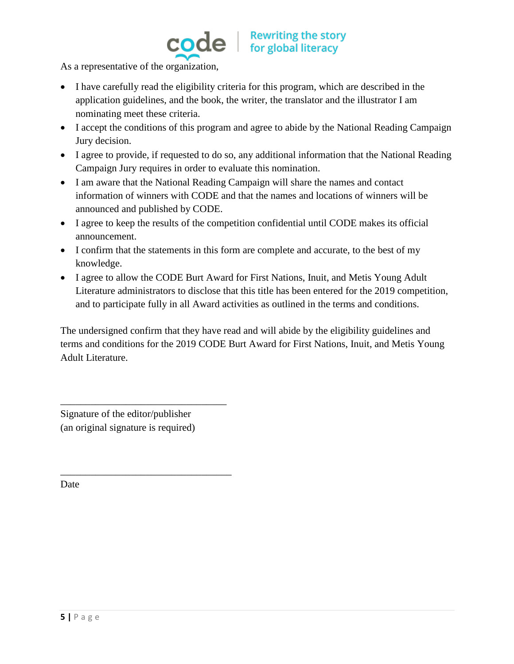

As a representative of the organization,

- I have carefully read the eligibility criteria for this program, which are described in the application guidelines, and the book, the writer, the translator and the illustrator I am nominating meet these criteria.
- I accept the conditions of this program and agree to abide by the National Reading Campaign Jury decision.
- I agree to provide, if requested to do so, any additional information that the National Reading Campaign Jury requires in order to evaluate this nomination.
- I am aware that the National Reading Campaign will share the names and contact information of winners with CODE and that the names and locations of winners will be announced and published by CODE.
- I agree to keep the results of the competition confidential until CODE makes its official announcement.
- I confirm that the statements in this form are complete and accurate, to the best of my knowledge.
- I agree to allow the CODE Burt Award for First Nations, Inuit, and Metis Young Adult Literature administrators to disclose that this title has been entered for the 2019 competition, and to participate fully in all Award activities as outlined in the terms and conditions.

The undersigned confirm that they have read and will abide by the eligibility guidelines and terms and conditions for the 2019 CODE Burt Award for First Nations, Inuit, and Metis Young Adult Literature.

Signature of the editor/publisher (an original signature is required)

\_\_\_\_\_\_\_\_\_\_\_\_\_\_\_\_\_\_\_\_\_\_\_\_\_\_\_\_\_\_\_\_\_

\_\_\_\_\_\_\_\_\_\_\_\_\_\_\_\_\_\_\_\_\_\_\_\_\_\_\_\_\_\_\_\_\_\_

Date